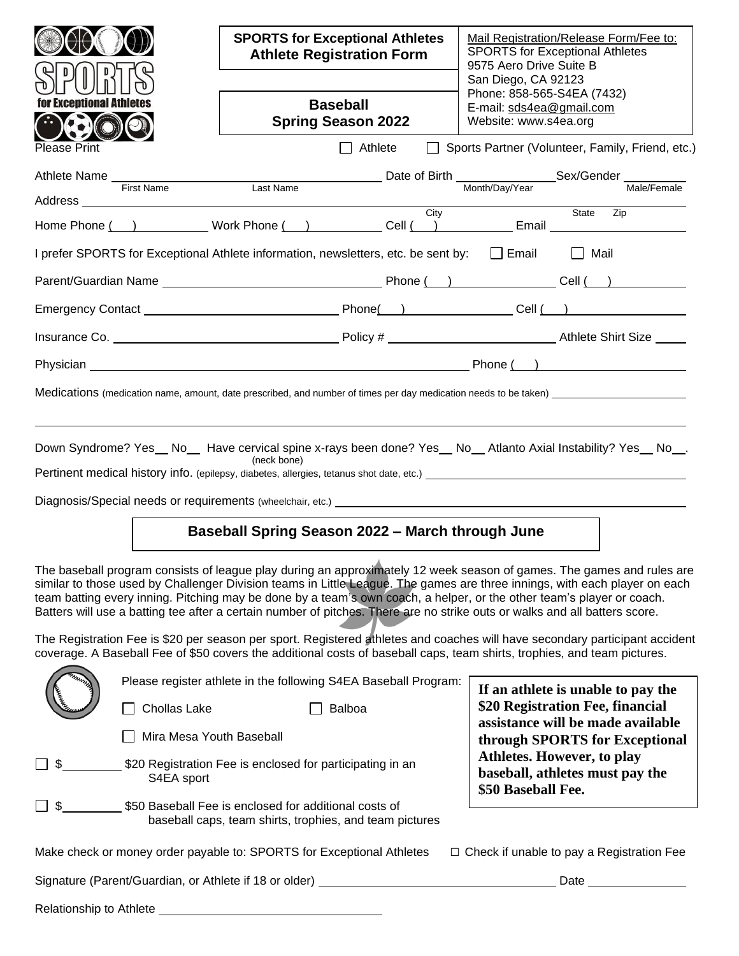|                                      | <b>SPORTS for Exceptional Athletes</b><br><b>Athlete Registration Form</b>                                                                                                                                                                                                                                                                                                                                                                                                                                                                                                                                                                                                                                                                                                                                                                         | Mail Registration/Release Form/Fee to:<br><b>SPORTS for Exceptional Athletes</b><br>9575 Aero Drive Suite B<br>San Diego, CA 92123 |  |
|--------------------------------------|----------------------------------------------------------------------------------------------------------------------------------------------------------------------------------------------------------------------------------------------------------------------------------------------------------------------------------------------------------------------------------------------------------------------------------------------------------------------------------------------------------------------------------------------------------------------------------------------------------------------------------------------------------------------------------------------------------------------------------------------------------------------------------------------------------------------------------------------------|------------------------------------------------------------------------------------------------------------------------------------|--|
| CANTIONAI A                          | <b>Baseball</b><br><b>Spring Season 2022</b>                                                                                                                                                                                                                                                                                                                                                                                                                                                                                                                                                                                                                                                                                                                                                                                                       | Phone: 858-565-S4EA (7432)<br>E-mail: sds4ea@gmail.com<br>Website: www.s4ea.org                                                    |  |
| Please Print                         | Athlete<br>$\mathbf{L}$                                                                                                                                                                                                                                                                                                                                                                                                                                                                                                                                                                                                                                                                                                                                                                                                                            | Sports Partner (Volunteer, Family, Friend, etc.)                                                                                   |  |
| Athlete Name<br>First Name<br>Last 1 | Last Name                                                                                                                                                                                                                                                                                                                                                                                                                                                                                                                                                                                                                                                                                                                                                                                                                                          |                                                                                                                                    |  |
|                                      | $\overline{C}$ ity                                                                                                                                                                                                                                                                                                                                                                                                                                                                                                                                                                                                                                                                                                                                                                                                                                 | State<br>Zip                                                                                                                       |  |
|                                      | Home Phone ( ) Work Phone ( ) Cell ( ) Cell ( ) Email Constant Construction Cell ( ) and Cell ( ) and Cell ( )                                                                                                                                                                                                                                                                                                                                                                                                                                                                                                                                                                                                                                                                                                                                     |                                                                                                                                    |  |
|                                      | I prefer SPORTS for Exceptional Athlete information, newsletters, etc. be sent by: □ Email                                                                                                                                                                                                                                                                                                                                                                                                                                                                                                                                                                                                                                                                                                                                                         | │ │ Mail                                                                                                                           |  |
|                                      |                                                                                                                                                                                                                                                                                                                                                                                                                                                                                                                                                                                                                                                                                                                                                                                                                                                    |                                                                                                                                    |  |
|                                      |                                                                                                                                                                                                                                                                                                                                                                                                                                                                                                                                                                                                                                                                                                                                                                                                                                                    |                                                                                                                                    |  |
|                                      |                                                                                                                                                                                                                                                                                                                                                                                                                                                                                                                                                                                                                                                                                                                                                                                                                                                    |                                                                                                                                    |  |
|                                      |                                                                                                                                                                                                                                                                                                                                                                                                                                                                                                                                                                                                                                                                                                                                                                                                                                                    |                                                                                                                                    |  |
|                                      | Medications (medication name, amount, date prescribed, and number of times per day medication needs to be taken) ______________________                                                                                                                                                                                                                                                                                                                                                                                                                                                                                                                                                                                                                                                                                                            |                                                                                                                                    |  |
|                                      | Baseball Spring Season 2022 – March through June                                                                                                                                                                                                                                                                                                                                                                                                                                                                                                                                                                                                                                                                                                                                                                                                   |                                                                                                                                    |  |
| Chollas Lake                         | The baseball program consists of league play during an approximately 12 week season of games. The games and rules are<br>similar to those used by Challenger Division teams in Little League. The games are three innings, with each player on each<br>team batting every inning. Pitching may be done by a team's own coach, a helper, or the other team's player or coach.<br>Batters will use a batting tee after a certain number of pitches. There are no strike outs or walks and all batters score.<br>The Registration Fee is \$20 per season per sport. Registered athletes and coaches will have secondary participant accident<br>coverage. A Baseball Fee of \$50 covers the additional costs of baseball caps, team shirts, trophies, and team pictures.<br>Please register athlete in the following S4EA Baseball Program:<br>Balboa | If an athlete is unable to pay the<br>\$20 Registration Fee, financial<br>assistance will be made available                        |  |
|                                      | Mira Mesa Youth Baseball                                                                                                                                                                                                                                                                                                                                                                                                                                                                                                                                                                                                                                                                                                                                                                                                                           | through SPORTS for Exceptional                                                                                                     |  |
| - \$<br>S4EA sport                   | \$20 Registration Fee is enclosed for participating in an                                                                                                                                                                                                                                                                                                                                                                                                                                                                                                                                                                                                                                                                                                                                                                                          | Athletes. However, to play<br>baseball, athletes must pay the<br>\$50 Baseball Fee.                                                |  |
|                                      | \$50 Baseball Fee is enclosed for additional costs of<br>baseball caps, team shirts, trophies, and team pictures                                                                                                                                                                                                                                                                                                                                                                                                                                                                                                                                                                                                                                                                                                                                   |                                                                                                                                    |  |
|                                      |                                                                                                                                                                                                                                                                                                                                                                                                                                                                                                                                                                                                                                                                                                                                                                                                                                                    |                                                                                                                                    |  |
|                                      | Make check or money order payable to: SPORTS for Exceptional Athletes                                                                                                                                                                                                                                                                                                                                                                                                                                                                                                                                                                                                                                                                                                                                                                              | $\Box$ Check if unable to pay a Registration Fee                                                                                   |  |
|                                      |                                                                                                                                                                                                                                                                                                                                                                                                                                                                                                                                                                                                                                                                                                                                                                                                                                                    |                                                                                                                                    |  |